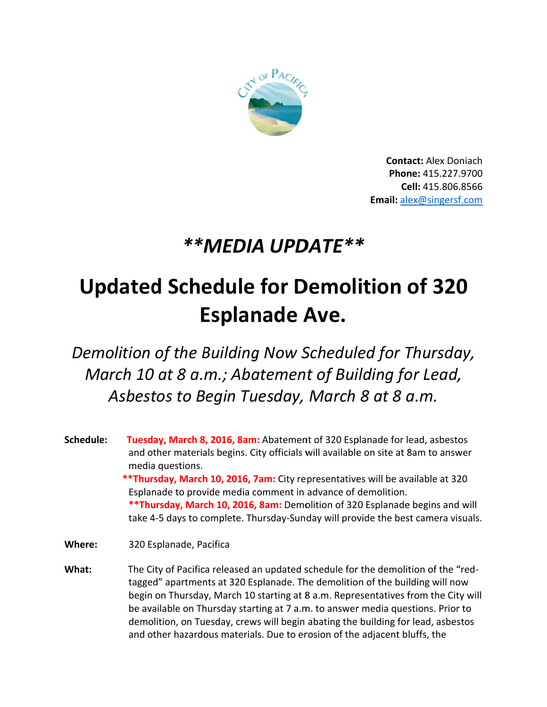

**Contact: Alex Doniach** Phone: 415.227.9700 Cell: 415.806.8566 **Email:** alex@singersf.com

## \*\*MEDIA UPDATE\*\*

## **Updated Schedule for Demolition of 320 Esplanade Ave.**

## Demolition of the Building Now Scheduled for Thursday, March 10 at 8 a.m.; Abatement of Building for Lead, Asbestos to Begin Tuesday, March 8 at 8 a.m.

- Schedule: Tuesday, March 8, 2016, 8am: Abatement of 320 Esplanade for lead, asbestos and other materials begins. City officials will available on site at 8am to answer media questions. **\*\*Thursday, March 10, 2016, 7am:** City representatives will be available at 320 Esplanade to provide media comment in advance of demolition. \*\*Thursday, March 10, 2016, 8am: Demolition of 320 Esplanade begins and will take 4-5 days to complete. Thursday-Sunday will provide the best camera visuals. Where: 320 Esplanade, Pacifica
- What: The City of Pacifica released an updated schedule for the demolition of the "redtagged" apartments at 320 Esplanade. The demolition of the building will now begin on Thursday, March 10 starting at 8 a.m. Representatives from the City will be available on Thursday starting at 7 a.m. to answer media questions. Prior to demolition, on Tuesday, crews will begin abating the building for lead, asbestos and other hazardous materials. Due to erosion of the adjacent bluffs, the